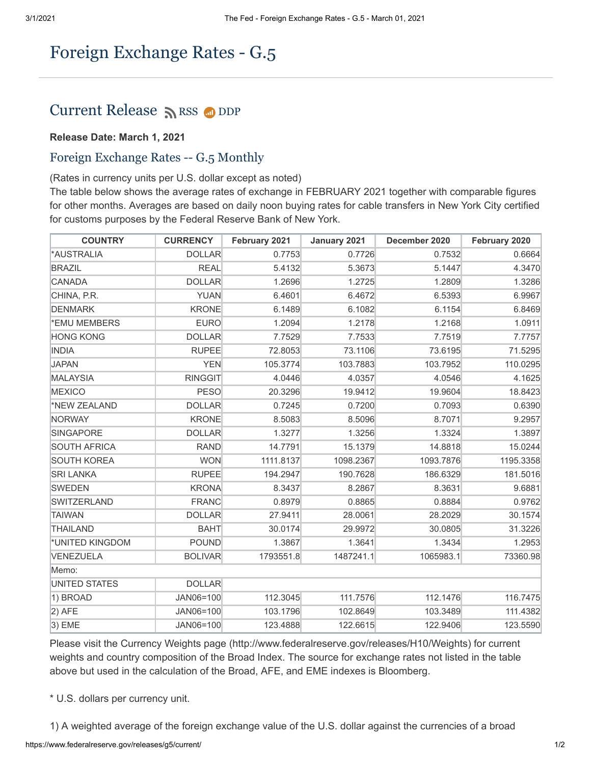## Foreign Exchange Rates - G.5

## Current Release [RSS](https://www.federalreserve.gov/feeds) O[DDP](https://www.federalreserve.gov/datadownload/Choose.aspx?rel=H10)

## **Release Date: March 1, 2021**

## Foreign Exchange Rates -- G.5 Monthly

(Rates in currency units per U.S. dollar except as noted)

The table below shows the average rates of exchange in FEBRUARY 2021 together with comparable figures for other months. Averages are based on daily noon buying rates for cable transfers in New York City certified for customs purposes by the Federal Reserve Bank of New York.

| <b>COUNTRY</b>      | <b>CURRENCY</b> | February 2021 | January 2021 | December 2020 | February 2020 |
|---------------------|-----------------|---------------|--------------|---------------|---------------|
| <b>*AUSTRALIA</b>   | <b>DOLLAR</b>   | 0.7753        | 0.7726       | 0.7532        | 0.6664        |
| <b>BRAZIL</b>       | <b>REAL</b>     | 5.4132        | 5.3673       | 5.1447        | 4.3470        |
| CANADA              | <b>DOLLAR</b>   | 1.2696        | 1.2725       | 1.2809        | 1.3286        |
| CHINA, P.R.         | <b>YUAN</b>     | 6.4601        | 6.4672       | 6.5393        | 6.9967        |
| DENMARK             | <b>KRONE</b>    | 6.1489        | 6.1082       | 6.1154        | 6.8469        |
| *EMU MEMBERS        | <b>EURO</b>     | 1.2094        | 1.2178       | 1.2168        | 1.0911        |
| <b>HONG KONG</b>    | <b>DOLLAR</b>   | 7.7529        | 7.7533       | 7.7519        | 7.7757        |
| <b>INDIA</b>        | <b>RUPEE</b>    | 72.8053       | 73.1106      | 73.6195       | 71.5295       |
| <b>JAPAN</b>        | <b>YEN</b>      | 105.3774      | 103.7883     | 103.7952      | 110.0295      |
| MALAYSIA            | <b>RINGGIT</b>  | 4.0446        | 4.0357       | 4.0546        | 4.1625        |
| <b>MEXICO</b>       | <b>PESO</b>     | 20.3296       | 19.9412      | 19.9604       | 18.8423       |
| <b>NEW ZEALAND</b>  | <b>DOLLAR</b>   | 0.7245        | 0.7200       | 0.7093        | 0.6390        |
| NORWAY              | <b>KRONE</b>    | 8.5083        | 8.5096       | 8.7071        | 9.2957        |
| SINGAPORE           | <b>DOLLAR</b>   | 1.3277        | 1.3256       | 1.3324        | 1.3897        |
| <b>SOUTH AFRICA</b> | <b>RAND</b>     | 14.7791       | 15.1379      | 14.8818       | 15.0244       |
| <b>SOUTH KOREA</b>  | <b>WON</b>      | 1111.8137     | 1098.2367    | 1093.7876     | 1195.3358     |
| <b>SRI LANKA</b>    | <b>RUPEE</b>    | 194.2947      | 190.7628     | 186.6329      | 181.5016      |
| SWEDEN              | <b>KRONA</b>    | 8.3437        | 8.2867       | 8.3631        | 9.6881        |
| SWITZERLAND         | <b>FRANC</b>    | 0.8979        | 0.8865       | 0.8884        | 0.9762        |
| <b>TAIWAN</b>       | <b>DOLLAR</b>   | 27.9411       | 28.0061      | 28.2029       | 30.1574       |
| <b>THAILAND</b>     | <b>BAHT</b>     | 30.0174       | 29.9972      | 30.0805       | 31.3226       |
| *UNITED KINGDOM     | <b>POUND</b>    | 1.3867        | 1.3641       | 1.3434        | 1.2953        |
| VENEZUELA           | <b>BOLIVAR</b>  | 1793551.8     | 1487241.1    | 1065983.1     | 73360.98      |
| Memo:               |                 |               |              |               |               |
| UNITED STATES       | <b>DOLLAR</b>   |               |              |               |               |
| 1) BROAD            | JAN06=100       | 112.3045      | 111.7576     | 112.1476      | 116.7475      |
| $ 2)$ AFE           | JAN06=100       | 103.1796      | 102.8649     | 103.3489      | 111.4382      |
| $ 3)$ EME           | JAN06=100       | 123.4888      | 122.6615     | 122.9406      | 123.5590      |

Please visit the Currency Weights page (http://www.federalreserve.gov/releases/H10/Weights) for current weights and country composition of the Broad Index. The source for exchange rates not listed in the table above but used in the calculation of the Broad, AFE, and EME indexes is Bloomberg.

\* U.S. dollars per currency unit.

1) A weighted average of the foreign exchange value of the U.S. dollar against the currencies of a broad